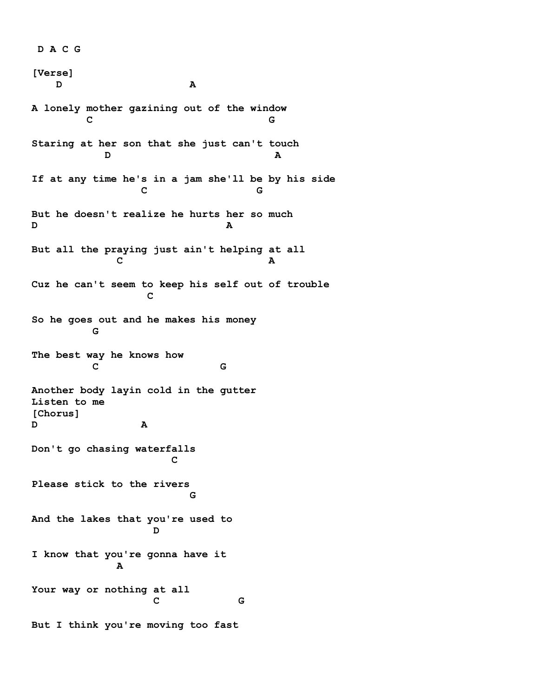**D A C G [Verse] D A A lonely mother gazining out of the window C G Staring at her son that she just can't touch D A If at any time he's in a jam she'll be by his side C** G G **But he doesn't realize he hurts her so much D A But all the praying just ain't helping at all C A Cuz he can't seem to keep his self out of trouble C C C So he goes out and he makes his money G The best way he knows how C** G G **Another body layin cold in the gutter Listen to me [Chorus] D A Don't go chasing waterfalls C Please stick to the rivers G G And the lakes that you're used to D I know that you're gonna have it A Your way or nothing at all C** G **But I think you're moving too fast**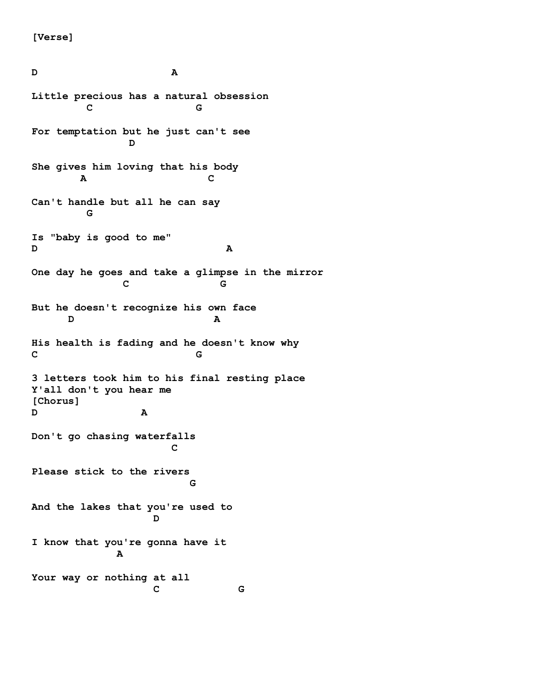**[Verse]** 

**D A Little precious has a natural obsession C** G **For temptation but he just can't see D She gives him loving that his body a** C **Can't handle but all he can say G Is "baby is good to me" D A One day he goes and take a glimpse in the mirror C** G **But he doesn't recognize his own face D A His health is fading and he doesn't know why C G 3 letters took him to his final resting place Y'all don't you hear me [Chorus] D A Don't go chasing waterfalls C Please stick to the rivers G G And the lakes that you're used to D I know that you're gonna have it A Your way or nothing at all C** G